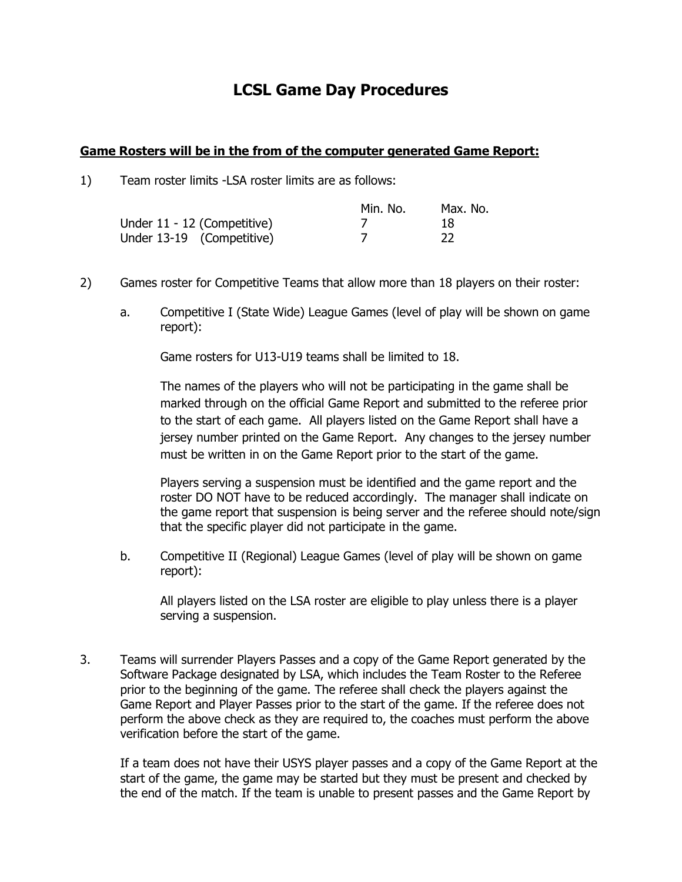## **LCSL Game Day Procedures**

## **Game Rosters will be in the from of the computer generated Game Report:**

1) Team roster limits -LSA roster limits are as follows:

|                             | Min. No. | Max. No. |
|-----------------------------|----------|----------|
| Under 11 - 12 (Competitive) |          | 18       |
| Under 13-19 (Competitive)   |          |          |

- 2) Games roster for Competitive Teams that allow more than 18 players on their roster:
	- a. Competitive I (State Wide) League Games (level of play will be shown on game report):

Game rosters for U13-U19 teams shall be limited to 18.

The names of the players who will not be participating in the game shall be marked through on the official Game Report and submitted to the referee prior to the start of each game. All players listed on the Game Report shall have a jersey number printed on the Game Report. Any changes to the jersey number must be written in on the Game Report prior to the start of the game.

Players serving a suspension must be identified and the game report and the roster DO NOT have to be reduced accordingly. The manager shall indicate on the game report that suspension is being server and the referee should note/sign that the specific player did not participate in the game.

b. Competitive II (Regional) League Games (level of play will be shown on game report):

All players listed on the LSA roster are eligible to play unless there is a player serving a suspension.

3. Teams will surrender Players Passes and a copy of the Game Report generated by the Software Package designated by LSA, which includes the Team Roster to the Referee prior to the beginning of the game. The referee shall check the players against the Game Report and Player Passes prior to the start of the game. If the referee does not perform the above check as they are required to, the coaches must perform the above verification before the start of the game.

If a team does not have their USYS player passes and a copy of the Game Report at the start of the game, the game may be started but they must be present and checked by the end of the match. If the team is unable to present passes and the Game Report by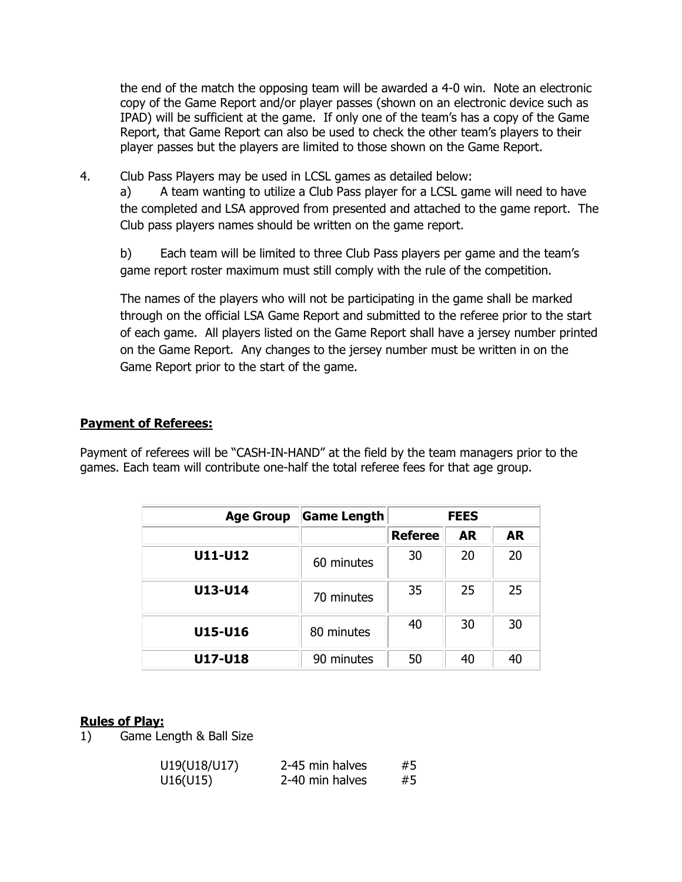the end of the match the opposing team will be awarded a 4-0 win. Note an electronic copy of the Game Report and/or player passes (shown on an electronic device such as IPAD) will be sufficient at the game. If only one of the team's has a copy of the Game Report, that Game Report can also be used to check the other team's players to their player passes but the players are limited to those shown on the Game Report.

4. Club Pass Players may be used in LCSL games as detailed below:

a) A team wanting to utilize a Club Pass player for a LCSL game will need to have the completed and LSA approved from presented and attached to the game report. The Club pass players names should be written on the game report.

b) Each team will be limited to three Club Pass players per game and the team's game report roster maximum must still comply with the rule of the competition.

The names of the players who will not be participating in the game shall be marked through on the official LSA Game Report and submitted to the referee prior to the start of each game. All players listed on the Game Report shall have a jersey number printed on the Game Report. Any changes to the jersey number must be written in on the Game Report prior to the start of the game.

## **Payment of Referees:**

Payment of referees will be "CASH-IN-HAND" at the field by the team managers prior to the games. Each team will contribute one-half the total referee fees for that age group.

| <b>Age Group</b> | Game Length | <b>FEES</b>    |           |           |
|------------------|-------------|----------------|-----------|-----------|
|                  |             | <b>Referee</b> | <b>AR</b> | <b>AR</b> |
| U11-U12          | 60 minutes  | 30             | 20        | 20        |
| U13-U14          | 70 minutes  | 35             | 25        | 25        |
| U15-U16          | 80 minutes  | 40             | 30        | 30        |
| U17-U18          | 90 minutes  | 50             | 40        | 40        |

## **Rules of Play:**

1) Game Length & Ball Size

| U19(U18/U17) | 2-45 min halves | #5 |
|--------------|-----------------|----|
| U16(U15)     | 2-40 min halves | #5 |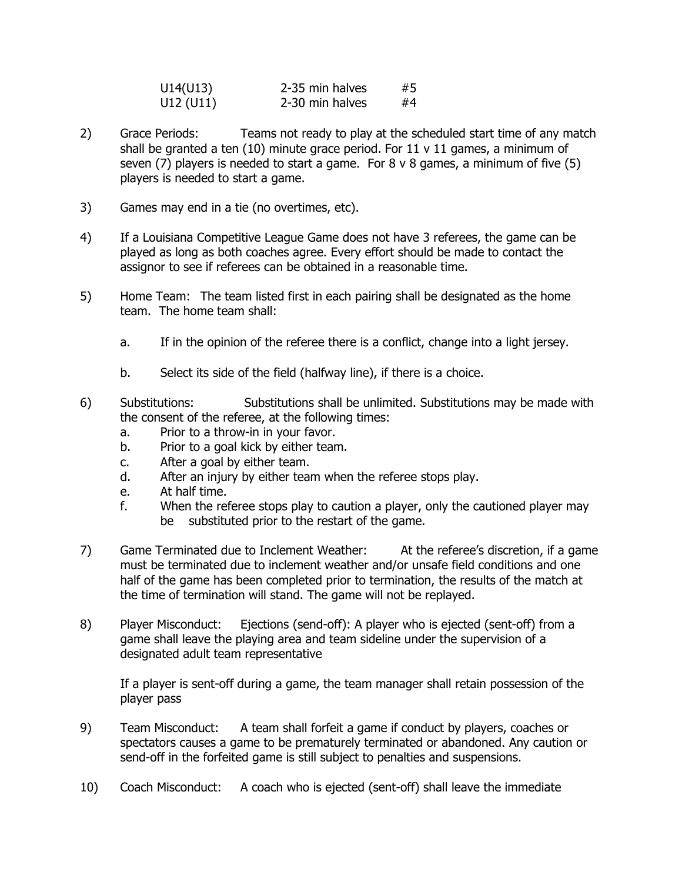| U14(U13)  | 2-35 min halves | #5 |
|-----------|-----------------|----|
| U12 (U11) | 2-30 min halves | #4 |

- 2) Grace Periods: Teams not ready to play at the scheduled start time of any match shall be granted a ten  $(10)$  minute grace period. For 11 v 11 games, a minimum of seven (7) players is needed to start a game. For  $8 \vee 8$  games, a minimum of five (5) players is needed to start a game.
- 3) Games may end in a tie (no overtimes, etc).
- 4) If a Louisiana Competitive League Game does not have 3 referees, the game can be played as long as both coaches agree. Every effort should be made to contact the assignor to see if referees can be obtained in a reasonable time.
- 5) Home Team: The team listed first in each pairing shall be designated as the home team. The home team shall:
	- a. If in the opinion of the referee there is a conflict, change into a light jersey.
	- b. Select its side of the field (halfway line), if there is a choice.
- 6) Substitutions: Substitutions shall be unlimited. Substitutions may be made with the consent of the referee, at the following times:
	- a. Prior to a throw-in in your favor.
	- b. Prior to a goal kick by either team.
	- c. After a goal by either team.
	- d. After an injury by either team when the referee stops play.
	- e. At half time.
	- f. When the referee stops play to caution a player, only the cautioned player may be substituted prior to the restart of the game.
- 7) Game Terminated due to Inclement Weather: At the referee's discretion, if a game must be terminated due to inclement weather and/or unsafe field conditions and one half of the game has been completed prior to termination, the results of the match at the time of termination will stand. The game will not be replayed.
- 8) Player Misconduct: Ejections (send-off): A player who is ejected (sent-off) from a game shall leave the playing area and team sideline under the supervision of a designated adult team representative

If a player is sent-off during a game, the team manager shall retain possession of the player pass

- 9) Team Misconduct: A team shall forfeit a game if conduct by players, coaches or spectators causes a game to be prematurely terminated or abandoned. Any caution or send-off in the forfeited game is still subject to penalties and suspensions.
- 10) Coach Misconduct: A coach who is ejected (sent-off) shall leave the immediate